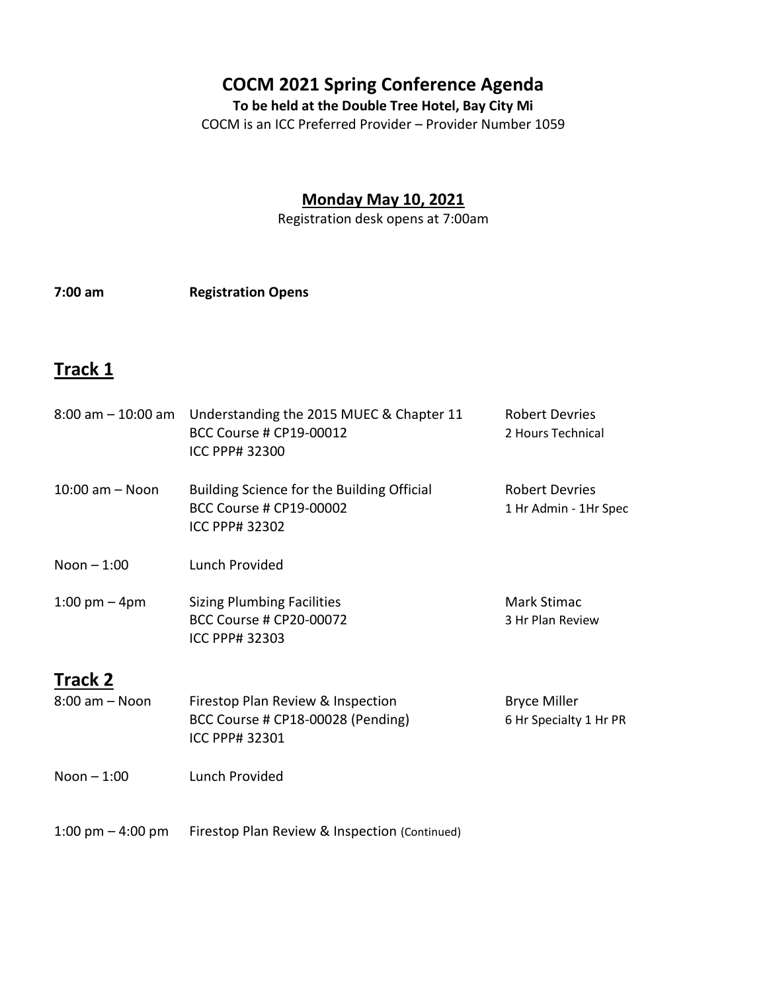### **COCM 2021 Spring Conference Agenda**

**To be held at the Double Tree Hotel, Bay City Mi**

COCM is an ICC Preferred Provider – Provider Number 1059

### **Monday May 10, 2021**

Registration desk opens at 7:00am

**7:00 am Registration Opens**

### **Track 1**

|                                      | 8:00 am - 10:00 am Understanding the 2015 MUEC & Chapter 11<br>BCC Course # CP19-00012<br><b>ICC PPP# 32300</b> | <b>Robert Devries</b><br>2 Hours Technical     |
|--------------------------------------|-----------------------------------------------------------------------------------------------------------------|------------------------------------------------|
| $10:00$ am $-$ Noon                  | Building Science for the Building Official<br><b>BCC Course # CP19-00002</b><br><b>ICC PPP# 32302</b>           | <b>Robert Devries</b><br>1 Hr Admin - 1Hr Spec |
| Noon $-1:00$                         | Lunch Provided                                                                                                  |                                                |
| 1:00 pm $-$ 4pm                      | <b>Sizing Plumbing Facilities</b><br><b>BCC Course # CP20-00072</b><br><b>ICC PPP# 32303</b>                    | Mark Stimac<br>3 Hr Plan Review                |
| <b>Track 2</b><br>$8:00$ am $-$ Noon | Firestop Plan Review & Inspection<br>BCC Course # CP18-00028 (Pending)<br>ICC PPP# 32301                        | <b>Bryce Miller</b><br>6 Hr Specialty 1 Hr PR  |
| Noon $-1:00$                         | Lunch Provided                                                                                                  |                                                |
| 1:00 pm $-$ 4:00 pm                  | Firestop Plan Review & Inspection (Continued)                                                                   |                                                |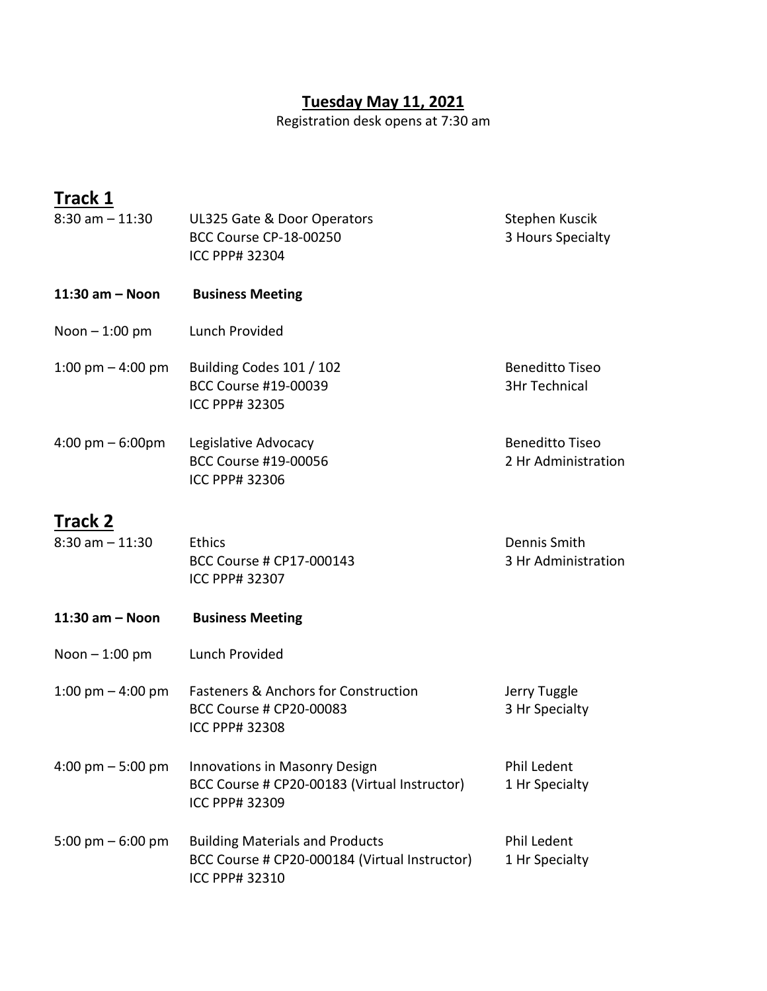#### **Tuesday May 11, 2021**

Registration desk opens at 7:30 am

# **Track 1**

| $8:30$ am $-11:30$                   | UL325 Gate & Door Operators<br><b>BCC Course CP-18-00250</b><br>ICC PPP# 32304                            | Stephen Kuscik<br>3 Hours Specialty            |
|--------------------------------------|-----------------------------------------------------------------------------------------------------------|------------------------------------------------|
| $11:30$ am - Noon                    | <b>Business Meeting</b>                                                                                   |                                                |
| Noon $-1:00$ pm                      | Lunch Provided                                                                                            |                                                |
| 1:00 pm $-$ 4:00 pm                  | Building Codes 101 / 102<br>BCC Course #19-00039<br>ICC PPP# 32305                                        | <b>Beneditto Tiseo</b><br><b>3Hr Technical</b> |
| $4:00 \text{ pm} - 6:00 \text{pm}$   | Legislative Advocacy<br>BCC Course #19-00056<br><b>ICC PPP# 32306</b>                                     | <b>Beneditto Tiseo</b><br>2 Hr Administration  |
| <b>Track 2</b><br>$8:30$ am $-11:30$ | <b>Ethics</b><br>BCC Course # CP17-000143<br>ICC PPP# 32307                                               | Dennis Smith<br>3 Hr Administration            |
| $11:30$ am $-$ Noon                  | <b>Business Meeting</b>                                                                                   |                                                |
| Noon $-1:00$ pm                      | Lunch Provided                                                                                            |                                                |
| 1:00 pm $-$ 4:00 pm                  | <b>Fasteners &amp; Anchors for Construction</b><br><b>BCC Course # CP20-00083</b><br>ICC PPP# 32308       | Jerry Tuggle<br>3 Hr Specialty                 |
| 4:00 pm $-$ 5:00 pm                  | Innovations in Masonry Design<br>BCC Course # CP20-00183 (Virtual Instructor)<br>ICC PPP# 32309           | Phil Ledent<br>1 Hr Specialty                  |
| 5:00 pm $-6:00$ pm                   | <b>Building Materials and Products</b><br>BCC Course # CP20-000184 (Virtual Instructor)<br>ICC PPP# 32310 | <b>Phil Ledent</b><br>1 Hr Specialty           |